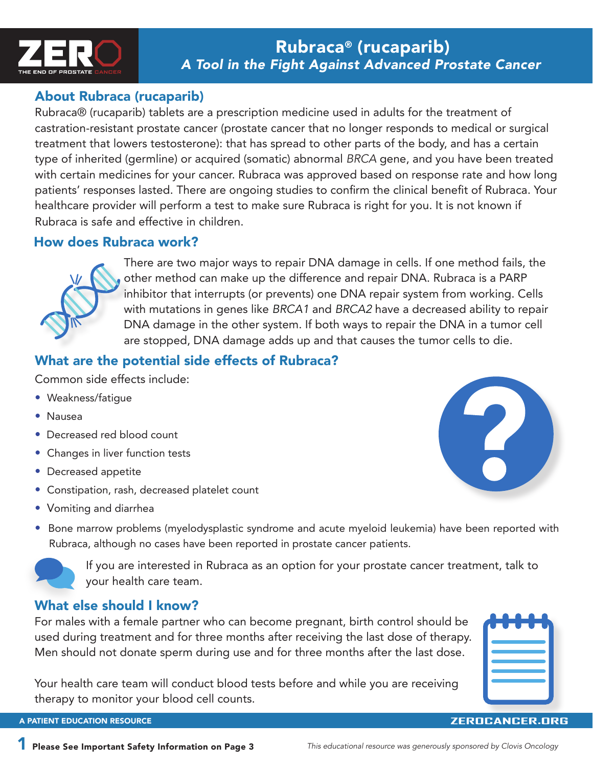

# About Rubraca (rucaparib)

Rubraca® (rucaparib) tablets are a prescription medicine used in adults for the treatment of castration-resistant prostate cancer (prostate cancer that no longer responds to medical or surgical treatment that lowers testosterone): that has spread to other parts of the body, and has a certain type of inherited (germline) or acquired (somatic) abnormal *BRCA* gene, and you have been treated with certain medicines for your cancer. Rubraca was approved based on response rate and how long patients' responses lasted. There are ongoing studies to confirm the clinical benefit of Rubraca. Your healthcare provider will perform a test to make sure Rubraca is right for you. It is not known if Rubraca is safe and effective in children.

# How does Rubraca work?



There are two major ways to repair DNA damage in cells. If one method fails, the other method can make up the difference and repair DNA. Rubraca is a PARP inhibitor that interrupts (or prevents) one DNA repair system from working. Cells with mutations in genes like *BRCA1* and *BRCA2* have a decreased ability to repair DNA damage in the other system. If both ways to repair the DNA in a tumor cell are stopped, DNA damage adds up and that causes the tumor cells to die.

# What are the potential side effects of Rubraca?

Common side effects include:

- Weakness/fatigue
- Nausea
- Decreased red blood count
- Changes in liver function tests
- Decreased appetite
- Constipation, rash, decreased platelet count
- Vomiting and diarrhea



• Bone marrow problems (myelodysplastic syndrome and acute myeloid leukemia) have been reported with Rubraca, although no cases have been reported in prostate cancer patients.



If you are interested in Rubraca as an option for your prostate cancer treatment, talk to your health care team.

# What else should I know?

For males with a female partner who can become pregnant, birth control should be used during treatment and for three months after receiving the last dose of therapy. Men should not donate sperm during use and for three months after the last dose.

Your health care team will conduct blood tests before and while you are receiving therapy to monitor your blood cell counts.



**ZEROCANCER.ORG**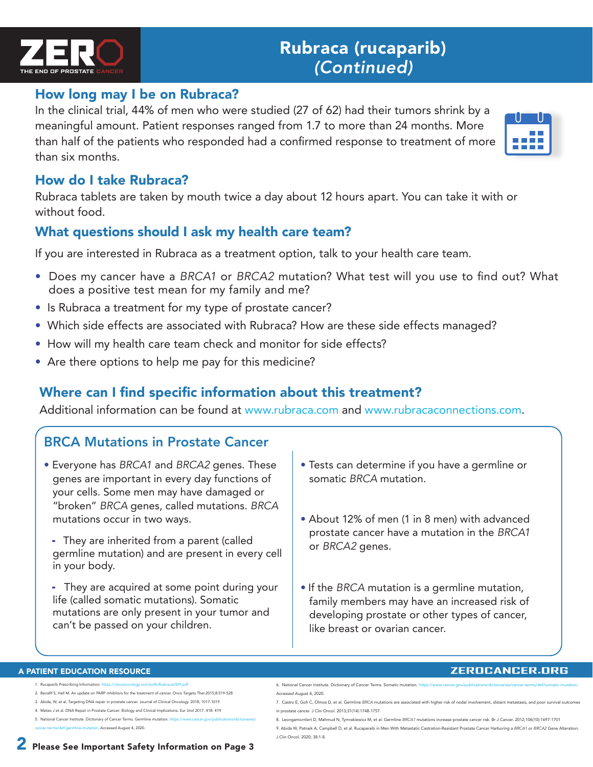

### How long may I be on Rubraca?

In the clinical trial, 44% of men who were studied (27 of 62) had their tumors shrink by a meaningful amount. Patient responses ranged from 1.7 to more than 24 months. More than half of the patients who responded had a confirmed response to treatment of more than six months.

### How do I take Rubraca?

Rubraca tablets are taken by mouth twice a day about 12 hours apart. You can take it with or without food.

# What questions should I ask my health care team?

If you are interested in Rubraca as a treatment option, talk to your health care team.

- Does my cancer have a *BRCA1* or *BRCA2* mutation? What test will you use to find out? What does a positive test mean for my family and me?
- Is Rubraca a treatment for my type of prostate cancer?
- Which side effects are associated with Rubraca? How are these side effects managed?
- How will my health care team check and monitor for side effects?
- Are there options to help me pay for this medicine?

# Where can I find specific information about this treatment?

Additional information can be found at www.rubraca.com and www.rubracaconnections.com.

# BRCA Mutations in Prostate Cancer

- Everyone has *BRCA1* and *BRCA2* genes. These genes are important in every day functions of your cells. Some men may have damaged or "broken" *BRCA* genes, called mutations. *BRCA*  mutations occur in two ways.
	- They are inherited from a parent (called germline mutation) and are present in every cell in your body.
	- They are acquired at some point during your life (called somatic mutations). Somatic mutations are only present in your tumor and can't be passed on your children.
- Tests can determine if you have a germline or somatic *BRCA* mutation.
- About 12% of men (1 in 8 men) with advanced prostate cancer have a mutation in the *BRCA1*  or *BRCA2* genes.
- If the *BRCA* mutation is a germline mutation, family members may have an increased risk of developing prostate or other types of cancer, like breast or ovarian cancer.

#### A PATIENT EDUCATION RESOURCE

- 1. Rucaparib Prescribing Information:
- 2. Benafif S, Hall M. An update on PARP inhibitors for the treatment of cancer. Onco Targets Ther.2015;8:519-528
- 3. Abida, W, et al, Targeting DNA repair in prostate cancer. Journal of Clinical Oncology. 2018; 1017-1019
- 4. Mateo J et al. DNA Repair in Prostate Cancer: Biology and Clinical Implications. Eur Urol 2017: 418- 419 5. National Cancer Institute. Dictionary of Cancer Terms. Germline mutation. ht
- mutation. Accessed August 4, 2020.

#### **ZEROCANCER.ORG**

- 6. National Cancer Institute. Dictionary of Cancer Terms. Somatic mutation. Accessed August 4, 2020.
- 7. Castro E, Goh C, Olmos D, et al. Germline *BRCA* mutations are associated with higher risk of nodal involvement, distant meta in prostate cancer. J Clin Oncol. 2013;31(14):1748-1757.
- 8. Leongamornlert D, Mahmud N, Tymrakiewicz M, et al. Germline *BRCA1* mutations increase prostate cancer risk. Br J Cancer. 2012;106(10):1697-1701
- 9. Abida W, Patnaik A, Campbell D, et al. Rucaparaib in Men With Metastatic Castration-Resistant Prostate Cancer Harboring a *BRCA1* or *BRCA2* Gene Alteration. J Clin Oncol. 2020; 38:1-8.